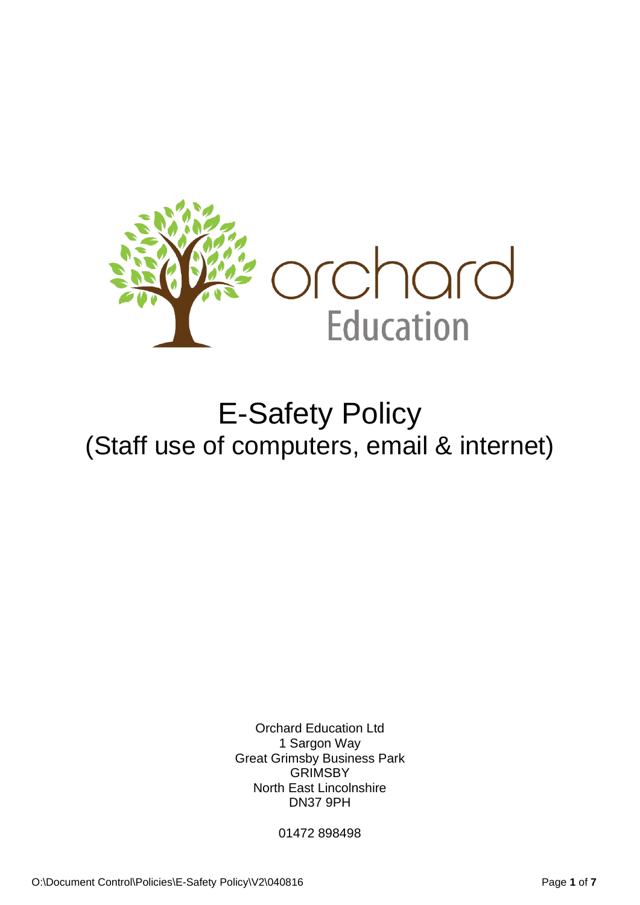

# E-Safety Policy (Staff use of computers, email & internet)

Orchard Education Ltd 1 Sargon Way Great Grimsby Business Park **GRIMSBY** North East Lincolnshire DN37 9PH

01472 898498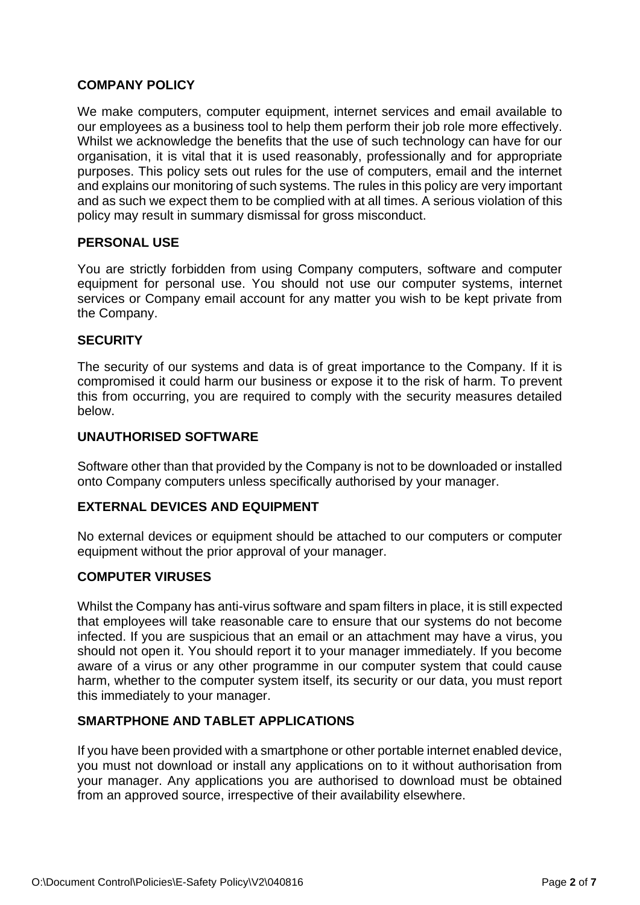## **COMPANY POLICY**

We make computers, computer equipment, internet services and email available to our employees as a business tool to help them perform their job role more effectively. Whilst we acknowledge the benefits that the use of such technology can have for our organisation, it is vital that it is used reasonably, professionally and for appropriate purposes. This policy sets out rules for the use of computers, email and the internet and explains our monitoring of such systems. The rules in this policy are very important and as such we expect them to be complied with at all times. A serious violation of this policy may result in summary dismissal for gross misconduct.

## **PERSONAL USE**

You are strictly forbidden from using Company computers, software and computer equipment for personal use. You should not use our computer systems, internet services or Company email account for any matter you wish to be kept private from the Company.

## **SECURITY**

The security of our systems and data is of great importance to the Company. If it is compromised it could harm our business or expose it to the risk of harm. To prevent this from occurring, you are required to comply with the security measures detailed below.

#### **UNAUTHORISED SOFTWARE**

Software other than that provided by the Company is not to be downloaded or installed onto Company computers unless specifically authorised by your manager.

## **EXTERNAL DEVICES AND EQUIPMENT**

No external devices or equipment should be attached to our computers or computer equipment without the prior approval of your manager.

#### **COMPUTER VIRUSES**

Whilst the Company has anti-virus software and spam filters in place, it is still expected that employees will take reasonable care to ensure that our systems do not become infected. If you are suspicious that an email or an attachment may have a virus, you should not open it. You should report it to your manager immediately. If you become aware of a virus or any other programme in our computer system that could cause harm, whether to the computer system itself, its security or our data, you must report this immediately to your manager.

## **SMARTPHONE AND TABLET APPLICATIONS**

If you have been provided with a smartphone or other portable internet enabled device, you must not download or install any applications on to it without authorisation from your manager. Any applications you are authorised to download must be obtained from an approved source, irrespective of their availability elsewhere.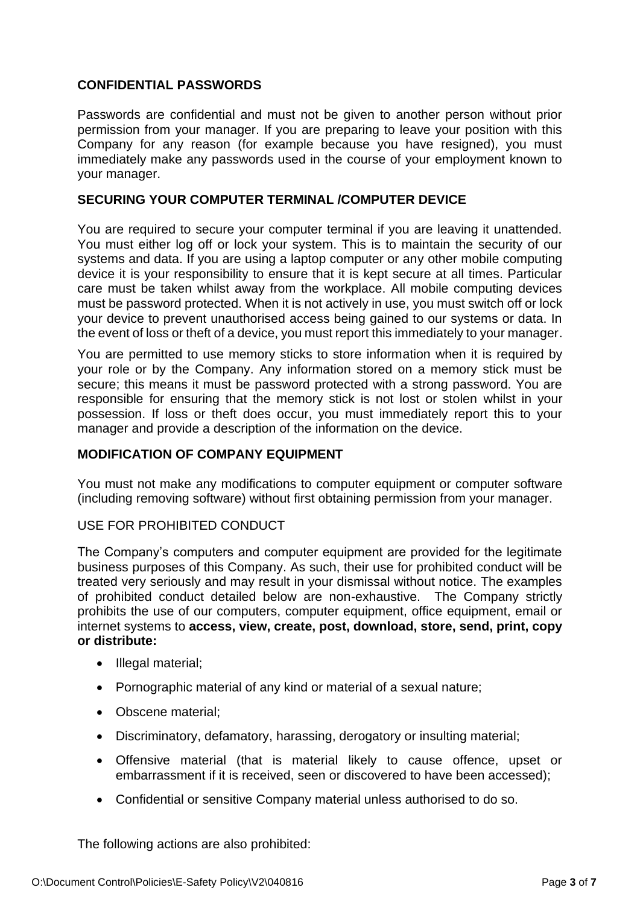## **CONFIDENTIAL PASSWORDS**

Passwords are confidential and must not be given to another person without prior permission from your manager. If you are preparing to leave your position with this Company for any reason (for example because you have resigned), you must immediately make any passwords used in the course of your employment known to your manager.

#### **SECURING YOUR COMPUTER TERMINAL /COMPUTER DEVICE**

You are required to secure your computer terminal if you are leaving it unattended. You must either log off or lock your system. This is to maintain the security of our systems and data. If you are using a laptop computer or any other mobile computing device it is your responsibility to ensure that it is kept secure at all times. Particular care must be taken whilst away from the workplace. All mobile computing devices must be password protected. When it is not actively in use, you must switch off or lock your device to prevent unauthorised access being gained to our systems or data. In the event of loss or theft of a device, you must report this immediately to your manager.

You are permitted to use memory sticks to store information when it is required by your role or by the Company. Any information stored on a memory stick must be secure; this means it must be password protected with a strong password. You are responsible for ensuring that the memory stick is not lost or stolen whilst in your possession. If loss or theft does occur, you must immediately report this to your manager and provide a description of the information on the device.

#### **MODIFICATION OF COMPANY EQUIPMENT**

You must not make any modifications to computer equipment or computer software (including removing software) without first obtaining permission from your manager.

#### USE FOR PROHIBITED CONDUCT

The Company's computers and computer equipment are provided for the legitimate business purposes of this Company. As such, their use for prohibited conduct will be treated very seriously and may result in your dismissal without notice. The examples of prohibited conduct detailed below are non-exhaustive. The Company strictly prohibits the use of our computers, computer equipment, office equipment, email or internet systems to **access, view, create, post, download, store, send, print, copy or distribute:**

- Illegal material;
- Pornographic material of any kind or material of a sexual nature;
- Obscene material:
- Discriminatory, defamatory, harassing, derogatory or insulting material;
- Offensive material (that is material likely to cause offence, upset or embarrassment if it is received, seen or discovered to have been accessed);
- Confidential or sensitive Company material unless authorised to do so.

The following actions are also prohibited: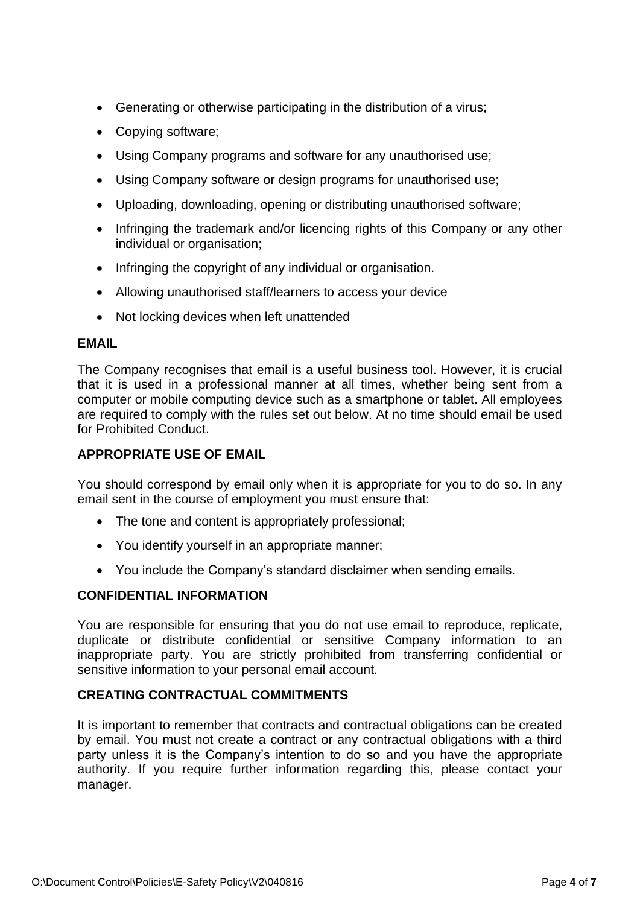- Generating or otherwise participating in the distribution of a virus;
- Copying software;
- Using Company programs and software for any unauthorised use;
- Using Company software or design programs for unauthorised use;
- Uploading, downloading, opening or distributing unauthorised software;
- Infringing the trademark and/or licencing rights of this Company or any other individual or organisation;
- Infringing the copyright of any individual or organisation.
- Allowing unauthorised staff/learners to access your device
- Not locking devices when left unattended

## **EMAIL**

The Company recognises that email is a useful business tool. However, it is crucial that it is used in a professional manner at all times, whether being sent from a computer or mobile computing device such as a smartphone or tablet. All employees are required to comply with the rules set out below. At no time should email be used for Prohibited Conduct.

# **APPROPRIATE USE OF EMAIL**

You should correspond by email only when it is appropriate for you to do so. In any email sent in the course of employment you must ensure that:

- The tone and content is appropriately professional;
- You identify yourself in an appropriate manner;
- You include the Company's standard disclaimer when sending emails.

# **CONFIDENTIAL INFORMATION**

You are responsible for ensuring that you do not use email to reproduce, replicate, duplicate or distribute confidential or sensitive Company information to an inappropriate party. You are strictly prohibited from transferring confidential or sensitive information to your personal email account.

## **CREATING CONTRACTUAL COMMITMENTS**

It is important to remember that contracts and contractual obligations can be created by email. You must not create a contract or any contractual obligations with a third party unless it is the Company's intention to do so and you have the appropriate authority. If you require further information regarding this, please contact your manager.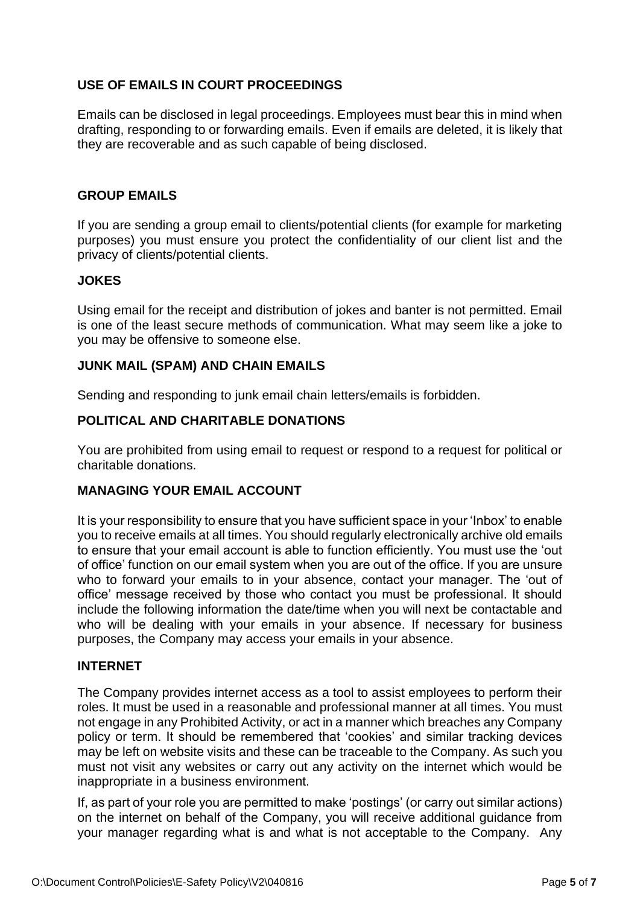# **USE OF EMAILS IN COURT PROCEEDINGS**

Emails can be disclosed in legal proceedings. Employees must bear this in mind when drafting, responding to or forwarding emails. Even if emails are deleted, it is likely that they are recoverable and as such capable of being disclosed.

## **GROUP EMAILS**

If you are sending a group email to clients/potential clients (for example for marketing purposes) you must ensure you protect the confidentiality of our client list and the privacy of clients/potential clients.

## **JOKES**

Using email for the receipt and distribution of jokes and banter is not permitted. Email is one of the least secure methods of communication. What may seem like a joke to you may be offensive to someone else.

## **JUNK MAIL (SPAM) AND CHAIN EMAILS**

Sending and responding to junk email chain letters/emails is forbidden.

## **POLITICAL AND CHARITABLE DONATIONS**

You are prohibited from using email to request or respond to a request for political or charitable donations.

## **MANAGING YOUR EMAIL ACCOUNT**

It is your responsibility to ensure that you have sufficient space in your 'Inbox' to enable you to receive emails at all times. You should regularly electronically archive old emails to ensure that your email account is able to function efficiently. You must use the 'out of office' function on our email system when you are out of the office. If you are unsure who to forward your emails to in your absence, contact your manager. The 'out of office' message received by those who contact you must be professional. It should include the following information the date/time when you will next be contactable and who will be dealing with your emails in your absence. If necessary for business purposes, the Company may access your emails in your absence.

#### **INTERNET**

The Company provides internet access as a tool to assist employees to perform their roles. It must be used in a reasonable and professional manner at all times. You must not engage in any Prohibited Activity, or act in a manner which breaches any Company policy or term. It should be remembered that 'cookies' and similar tracking devices may be left on website visits and these can be traceable to the Company. As such you must not visit any websites or carry out any activity on the internet which would be inappropriate in a business environment.

If, as part of your role you are permitted to make 'postings' (or carry out similar actions) on the internet on behalf of the Company, you will receive additional guidance from your manager regarding what is and what is not acceptable to the Company. Any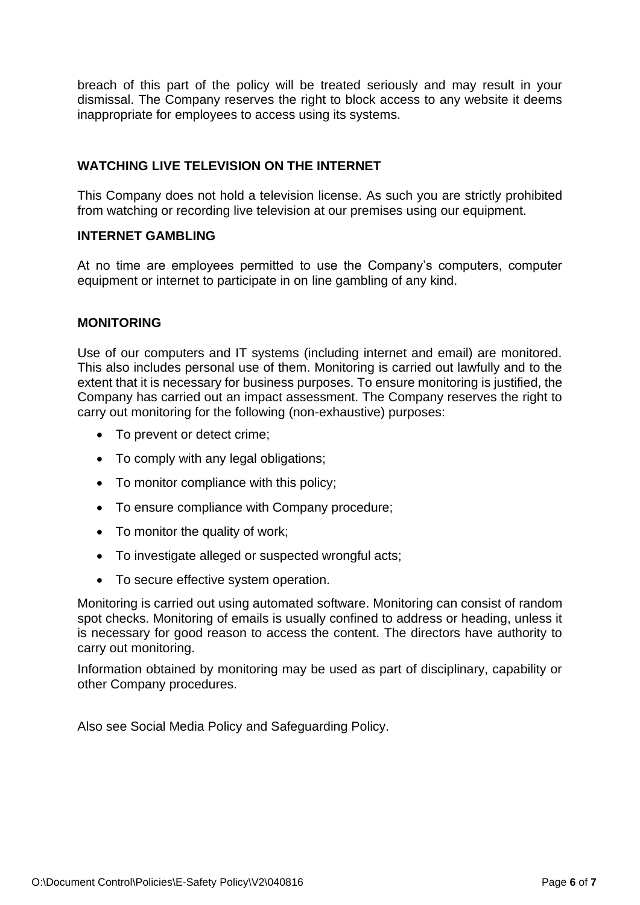breach of this part of the policy will be treated seriously and may result in your dismissal. The Company reserves the right to block access to any website it deems inappropriate for employees to access using its systems.

## **WATCHING LIVE TELEVISION ON THE INTERNET**

This Company does not hold a television license. As such you are strictly prohibited from watching or recording live television at our premises using our equipment.

## **INTERNET GAMBLING**

At no time are employees permitted to use the Company's computers, computer equipment or internet to participate in on line gambling of any kind.

#### **MONITORING**

Use of our computers and IT systems (including internet and email) are monitored. This also includes personal use of them. Monitoring is carried out lawfully and to the extent that it is necessary for business purposes. To ensure monitoring is justified, the Company has carried out an impact assessment. The Company reserves the right to carry out monitoring for the following (non-exhaustive) purposes:

- To prevent or detect crime;
- To comply with any legal obligations;
- To monitor compliance with this policy;
- To ensure compliance with Company procedure;
- To monitor the quality of work;
- To investigate alleged or suspected wrongful acts;
- To secure effective system operation.

Monitoring is carried out using automated software. Monitoring can consist of random spot checks. Monitoring of emails is usually confined to address or heading, unless it is necessary for good reason to access the content. The directors have authority to carry out monitoring.

Information obtained by monitoring may be used as part of disciplinary, capability or other Company procedures.

Also see Social Media Policy and Safeguarding Policy.